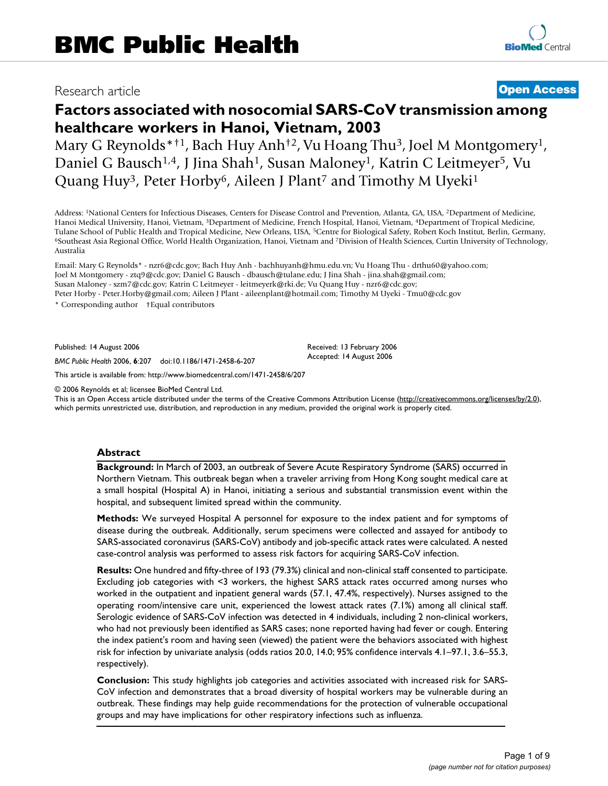# Research article **[Open Access](http://www.biomedcentral.com/info/about/charter/)**

# **Factors associated with nosocomial SARS-CoV transmission among healthcare workers in Hanoi, Vietnam, 2003**

Mary G Reynolds<sup>\*†1</sup>, Bach Huy Anh<sup>†2</sup>, Vu Hoang Thu<sup>3</sup>, Joel M Montgomery<sup>1</sup>, Daniel G Bausch<sup>1,4</sup>, J Jina Shah<sup>1</sup>, Susan Maloney<sup>1</sup>, Katrin C Leitmeyer<sup>5</sup>, Vu Quang Huy<sup>3</sup>, Peter Horby<sup>6</sup>, Aileen J Plant<sup>7</sup> and Timothy M Uyeki<sup>1</sup>

Address: 1National Centers for Infectious Diseases, Centers for Disease Control and Prevention, Atlanta, GA, USA, 2Department of Medicine, Hanoi Medical University, Hanoi, Vietnam, 3Department of Medicine, French Hospital, Hanoi, Vietnam, 4Department of Tropical Medicine, Tulane School of Public Health and Tropical Medicine, New Orleans, USA, <sup>5</sup>Centre for Biological Safety, Robert Koch Institut, Berlin, Germany, <sup>6</sup>Southeast Asia Regional Office, World Health Organization, Hanoi, Vietnam a Australia

Email: Mary G Reynolds\* - nzr6@cdc.gov; Bach Huy Anh - bachhuyanh@hmu.edu.vn; Vu Hoang Thu - drthu60@yahoo.com; Joel M Montgomery - ztq9@cdc.gov; Daniel G Bausch - dbausch@tulane.edu; J Jina Shah - jina.shah@gmail.com; Susan Maloney - szm7@cdc.gov; Katrin C Leitmeyer - leitmeyerk@rki.de; Vu Quang Huy - nzr6@cdc.gov; Peter Horby - Peter.Horby@gmail.com; Aileen J Plant - aileenplant@hotmail.com; Timothy M Uyeki - Tmu0@cdc.gov

\* Corresponding author †Equal contributors

Published: 14 August 2006

*BMC Public Health* 2006, **6**:207 doi:10.1186/1471-2458-6-207

[This article is available from: http://www.biomedcentral.com/1471-2458/6/207](http://www.biomedcentral.com/1471-2458/6/207)

© 2006 Reynolds et al; licensee BioMed Central Ltd.

This is an Open Access article distributed under the terms of the Creative Commons Attribution License [\(http://creativecommons.org/licenses/by/2.0\)](http://creativecommons.org/licenses/by/2.0), which permits unrestricted use, distribution, and reproduction in any medium, provided the original work is properly cited.

Received: 13 February 2006 Accepted: 14 August 2006

#### **Abstract**

**Background:** In March of 2003, an outbreak of Severe Acute Respiratory Syndrome (SARS) occurred in Northern Vietnam. This outbreak began when a traveler arriving from Hong Kong sought medical care at a small hospital (Hospital A) in Hanoi, initiating a serious and substantial transmission event within the hospital, and subsequent limited spread within the community.

**Methods:** We surveyed Hospital A personnel for exposure to the index patient and for symptoms of disease during the outbreak. Additionally, serum specimens were collected and assayed for antibody to SARS-associated coronavirus (SARS-CoV) antibody and job-specific attack rates were calculated. A nested case-control analysis was performed to assess risk factors for acquiring SARS-CoV infection.

**Results:** One hundred and fifty-three of 193 (79.3%) clinical and non-clinical staff consented to participate. Excluding job categories with <3 workers, the highest SARS attack rates occurred among nurses who worked in the outpatient and inpatient general wards (57.1, 47.4%, respectively). Nurses assigned to the operating room/intensive care unit, experienced the lowest attack rates (7.1%) among all clinical staff. Serologic evidence of SARS-CoV infection was detected in 4 individuals, including 2 non-clinical workers, who had not previously been identified as SARS cases; none reported having had fever or cough. Entering the index patient's room and having seen (viewed) the patient were the behaviors associated with highest risk for infection by univariate analysis (odds ratios 20.0, 14.0; 95% confidence intervals 4.1–97.1, 3.6–55.3, respectively).

**Conclusion:** This study highlights job categories and activities associated with increased risk for SARS-CoV infection and demonstrates that a broad diversity of hospital workers may be vulnerable during an outbreak. These findings may help guide recommendations for the protection of vulnerable occupational groups and may have implications for other respiratory infections such as influenza.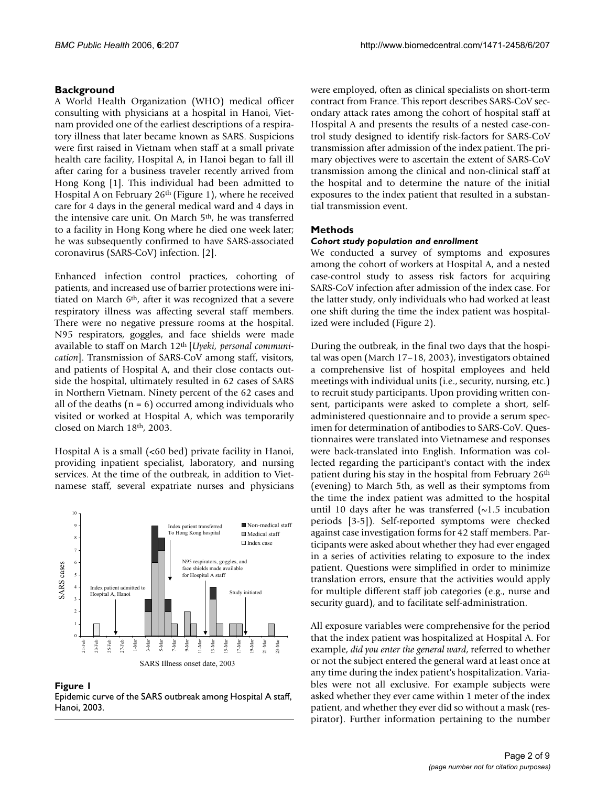# **Background**

A World Health Organization (WHO) medical officer consulting with physicians at a hospital in Hanoi, Vietnam provided one of the earliest descriptions of a respiratory illness that later became known as SARS. Suspicions were first raised in Vietnam when staff at a small private health care facility, Hospital A, in Hanoi began to fall ill after caring for a business traveler recently arrived from Hong Kong [1]. This individual had been admitted to Hospital A on February 26th (Figure 1), where he received care for 4 days in the general medical ward and 4 days in the intensive care unit. On March 5<sup>th</sup>, he was transferred to a facility in Hong Kong where he died one week later; he was subsequently confirmed to have SARS-associated coronavirus (SARS-CoV) infection. [2].

Enhanced infection control practices, cohorting of patients, and increased use of barrier protections were initiated on March 6<sup>th</sup>, after it was recognized that a severe respiratory illness was affecting several staff members. There were no negative pressure rooms at the hospital. N95 respirators, goggles, and face shields were made available to staff on March 12th [*Uyeki, personal communication*]. Transmission of SARS-CoV among staff, visitors, and patients of Hospital A, and their close contacts outside the hospital, ultimately resulted in 62 cases of SARS in Northern Vietnam. Ninety percent of the 62 cases and all of the deaths  $(n = 6)$  occurred among individuals who visited or worked at Hospital A, which was temporarily closed on March 18th, 2003.

Hospital A is a small (<60 bed) private facility in Hanoi, providing inpatient specialist, laboratory, and nursing services. At the time of the outbreak, in addition to Vietnamese staff, several expatriate nurses and physicians



**Figure 1** Epidemic curve of the SARS outbreak among Hospital A staff, Hanoi, 2003.

were employed, often as clinical specialists on short-term contract from France. This report describes SARS-CoV secondary attack rates among the cohort of hospital staff at Hospital A and presents the results of a nested case-control study designed to identify risk-factors for SARS-CoV transmission after admission of the index patient. The primary objectives were to ascertain the extent of SARS-CoV transmission among the clinical and non-clinical staff at the hospital and to determine the nature of the initial exposures to the index patient that resulted in a substantial transmission event.

# **Methods**

### *Cohort study population and enrollment*

We conducted a survey of symptoms and exposures among the cohort of workers at Hospital A, and a nested case-control study to assess risk factors for acquiring SARS-CoV infection after admission of the index case. For the latter study, only individuals who had worked at least one shift during the time the index patient was hospitalized were included (Figure 2).

During the outbreak, in the final two days that the hospital was open (March 17–18, 2003), investigators obtained a comprehensive list of hospital employees and held meetings with individual units (i.e., security, nursing, etc.) to recruit study participants. Upon providing written consent, participants were asked to complete a short, selfadministered questionnaire and to provide a serum specimen for determination of antibodies to SARS-CoV. Questionnaires were translated into Vietnamese and responses were back-translated into English. Information was collected regarding the participant's contact with the index patient during his stay in the hospital from February 26th (evening) to March 5th, as well as their symptoms from the time the index patient was admitted to the hospital until 10 days after he was transferred  $(\sim 1.5$  incubation periods [3-5]). Self-reported symptoms were checked against case investigation forms for 42 staff members. Participants were asked about whether they had ever engaged in a series of activities relating to exposure to the index patient. Questions were simplified in order to minimize translation errors, ensure that the activities would apply for multiple different staff job categories (e.g., nurse and security guard), and to facilitate self-administration.

All exposure variables were comprehensive for the period that the index patient was hospitalized at Hospital A. For example, *did you enter the general ward*, referred to whether or not the subject entered the general ward at least once at any time during the index patient's hospitalization. Variables were not all exclusive. For example subjects were asked whether they ever came within 1 meter of the index patient, and whether they ever did so without a mask (respirator). Further information pertaining to the number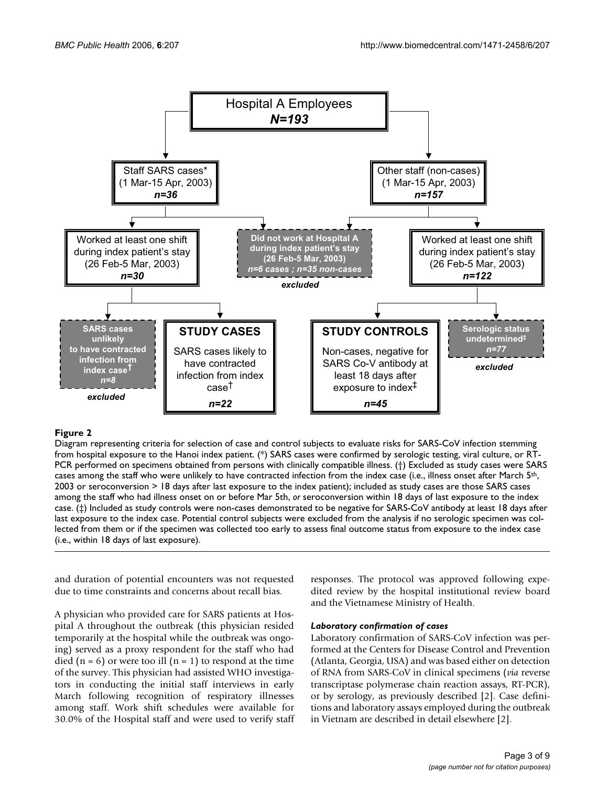

# Diagram representing criteria for selection from hospital exposure to the Hanoi index patient **Figure 2** of case and control subjects to evaluate risks for SARS-CoV infection stemming

Diagram representing criteria for selection of case and control subjects to evaluate risks for SARS-CoV infection stemming from hospital exposure to the Hanoi index patient. (\*) SARS cases were confirmed by serologic testing, viral culture, or RT-PCR performed on specimens obtained from persons with clinically compatible illness. (†) Excluded as study cases were SARS cases among the staff who were unlikely to have contracted infection from the index case (i.e., illness onset after March 5<sup>th</sup>, 2003 or seroconversion > 18 days after last exposure to the index patient); included as study cases are those SARS cases among the staff who had illness onset on or before Mar 5th, *or* seroconversion within 18 days of last exposure to the index case. (‡) Included as study controls were non-cases demonstrated to be negative for SARS-CoV antibody at least 18 days after last exposure to the index case. Potential control subjects were excluded from the analysis if no serologic specimen was collected from them or if the specimen was collected too early to assess final outcome status from exposure to the index case (i.e., within 18 days of last exposure).

and duration of potential encounters was not requested due to time constraints and concerns about recall bias.

A physician who provided care for SARS patients at Hospital A throughout the outbreak (this physician resided temporarily at the hospital while the outbreak was ongoing) served as a proxy respondent for the staff who had died  $(n = 6)$  or were too ill  $(n = 1)$  to respond at the time of the survey. This physician had assisted WHO investigators in conducting the initial staff interviews in early March following recognition of respiratory illnesses among staff. Work shift schedules were available for 30.0% of the Hospital staff and were used to verify staff responses. The protocol was approved following expedited review by the hospital institutional review board and the Vietnamese Ministry of Health.

### *Laboratory confirmation of cases*

Laboratory confirmation of SARS-CoV infection was performed at the Centers for Disease Control and Prevention (Atlanta, Georgia, USA) and was based either on detection of RNA from SARS-CoV in clinical specimens (*via* reverse transcriptase polymerase chain reaction assays, RT-PCR), or by serology, as previously described [2]. Case definitions and laboratory assays employed during the outbreak in Vietnam are described in detail elsewhere [2].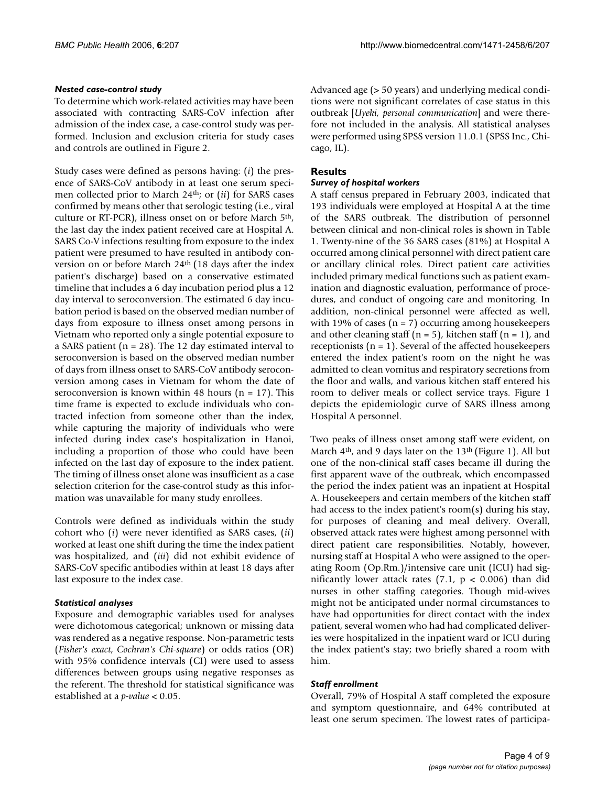### *Nested case-control study*

To determine which work-related activities may have been associated with contracting SARS-CoV infection after admission of the index case, a case-control study was performed. Inclusion and exclusion criteria for study cases and controls are outlined in Figure 2.

Study cases were defined as persons having: (*i*) the presence of SARS-CoV antibody in at least one serum specimen collected prior to March 24<sup>th</sup>; or (*ii*) for SARS cases confirmed by means other that serologic testing (i.e., viral culture or RT-PCR), illness onset on or before March 5<sup>th</sup>, the last day the index patient received care at Hospital A. SARS Co-V infections resulting from exposure to the index patient were presumed to have resulted in antibody conversion on or before March 24th (18 days after the index patient's discharge) based on a conservative estimated timeline that includes a 6 day incubation period plus a 12 day interval to seroconversion. The estimated 6 day incubation period is based on the observed median number of days from exposure to illness onset among persons in Vietnam who reported only a single potential exposure to a SARS patient (n = 28). The 12 day estimated interval to seroconversion is based on the observed median number of days from illness onset to SARS-CoV antibody seroconversion among cases in Vietnam for whom the date of seroconversion is known within 48 hours ( $n = 17$ ). This time frame is expected to exclude individuals who contracted infection from someone other than the index, while capturing the majority of individuals who were infected during index case's hospitalization in Hanoi, including a proportion of those who could have been infected on the last day of exposure to the index patient. The timing of illness onset alone was insufficient as a case selection criterion for the case-control study as this information was unavailable for many study enrollees.

Controls were defined as individuals within the study cohort who (*i*) were never identified as SARS cases, (*ii*) worked at least one shift during the time the index patient was hospitalized, and (*iii*) did not exhibit evidence of SARS-CoV specific antibodies within at least 18 days after last exposure to the index case.

### *Statistical analyses*

Exposure and demographic variables used for analyses were dichotomous categorical; unknown or missing data was rendered as a negative response. Non-parametric tests (*Fisher's exact*, *Cochran's Chi-square*) or odds ratios (OR) with 95% confidence intervals (CI) were used to assess differences between groups using negative responses as the referent. The threshold for statistical significance was established at a *p-value* < 0.05.

Advanced age (> 50 years) and underlying medical conditions were not significant correlates of case status in this outbreak [*Uyeki, personal communication*] and were therefore not included in the analysis. All statistical analyses were performed using SPSS version 11.0.1 (SPSS Inc., Chicago, IL).

# **Results**

# *Survey of hospital workers*

A staff census prepared in February 2003, indicated that 193 individuals were employed at Hospital A at the time of the SARS outbreak. The distribution of personnel between clinical and non-clinical roles is shown in Table 1. Twenty-nine of the 36 SARS cases (81%) at Hospital A occurred among clinical personnel with direct patient care or ancillary clinical roles. Direct patient care activities included primary medical functions such as patient examination and diagnostic evaluation, performance of procedures, and conduct of ongoing care and monitoring. In addition, non-clinical personnel were affected as well, with 19% of cases ( $n = 7$ ) occurring among housekeepers and other cleaning staff ( $n = 5$ ), kitchen staff ( $n = 1$ ), and receptionists  $(n = 1)$ . Several of the affected housekeepers entered the index patient's room on the night he was admitted to clean vomitus and respiratory secretions from the floor and walls, and various kitchen staff entered his room to deliver meals or collect service trays. Figure 1 depicts the epidemiologic curve of SARS illness among Hospital A personnel.

Two peaks of illness onset among staff were evident, on March  $4<sup>th</sup>$ , and 9 days later on the 13<sup>th</sup> (Figure 1). All but one of the non-clinical staff cases became ill during the first apparent wave of the outbreak, which encompassed the period the index patient was an inpatient at Hospital A. Housekeepers and certain members of the kitchen staff had access to the index patient's room(s) during his stay, for purposes of cleaning and meal delivery. Overall, observed attack rates were highest among personnel with direct patient care responsibilities. Notably, however, nursing staff at Hospital A who were assigned to the operating Room (Op.Rm.)/intensive care unit (ICU) had significantly lower attack rates  $(7.1, p < 0.006)$  than did nurses in other staffing categories. Though mid-wives might not be anticipated under normal circumstances to have had opportunities for direct contact with the index patient, several women who had had complicated deliveries were hospitalized in the inpatient ward or ICU during the index patient's stay; two briefly shared a room with him.

### *Staff enrollment*

Overall, 79% of Hospital A staff completed the exposure and symptom questionnaire, and 64% contributed at least one serum specimen. The lowest rates of participa-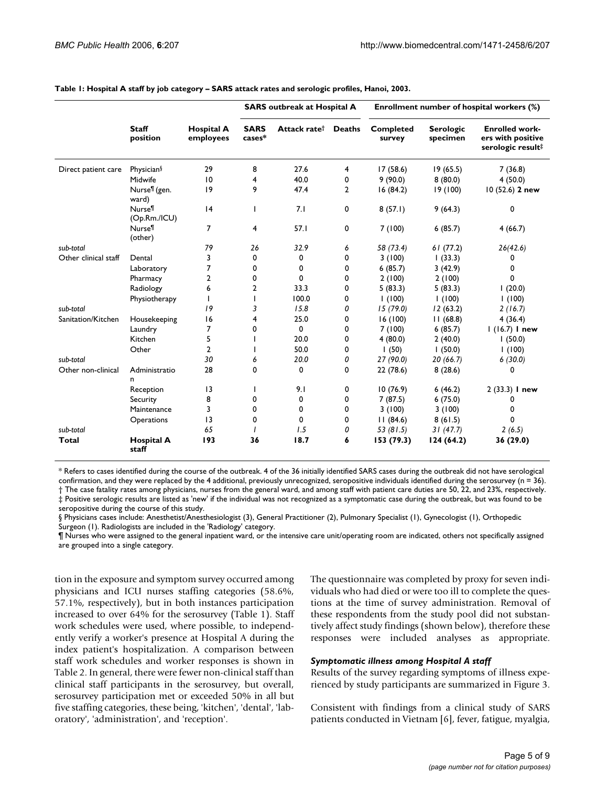|                      |                                   | <b>Hospital A</b><br>employees | <b>SARS</b> outbreak at Hospital A |                          |                | Enrollment number of hospital workers (%) |                       |                                                                 |  |
|----------------------|-----------------------------------|--------------------------------|------------------------------------|--------------------------|----------------|-------------------------------------------|-----------------------|-----------------------------------------------------------------|--|
|                      | <b>Staff</b><br>position          |                                | <b>SARS</b><br>cases*              | Attack rate <sup>†</sup> | <b>Deaths</b>  | <b>Completed</b><br>survey                | Serologic<br>specimen | <b>Enrolled work-</b><br>ers with positive<br>serologic result# |  |
| Direct patient care  | Physician <sup>§</sup>            | 29                             | 8                                  | 27.6                     | 4              | 17(58.6)                                  | 19(65.5)              | 7(36.8)                                                         |  |
|                      | Midwife                           | 10                             | 4                                  | 40.0                     | 0              | 9(90.0)                                   | 8(80.0)               | 4(50.0)                                                         |  |
|                      | Nurse <sup>¶</sup> (gen.<br>ward) | 19                             | 9                                  | 47.4                     | $\overline{2}$ | 16(84.2)                                  | 19 (100)              | 10 (52.6) 2 new                                                 |  |
|                      | Nursell<br>(Op.Rm./ICU)           | 4                              | L                                  | 7.1                      | 0              | 8(57.1)                                   | 9(64.3)               | 0                                                               |  |
|                      | Nursell<br>(other)                | 7                              | 4                                  | 57.1                     | 0              | 7(100)                                    | 6(85.7)               | 4(66.7)                                                         |  |
| sub-total            |                                   | 79                             | 26                                 | 32.9                     | 6              | 58 (73.4)                                 | 61(77.2)              | 26(42.6)                                                        |  |
| Other clinical staff | Dental                            | 3                              | 0                                  | 0                        | 0              | 3(100)                                    | (33.3)                | 0                                                               |  |
|                      | Laboratory                        | 7                              | 0                                  | 0                        | 0              | 6(85.7)                                   | 3(42.9)               | 0                                                               |  |
|                      | Pharmacy                          | $\overline{2}$                 | 0                                  | 0                        | 0              | 2(100)                                    | 2(100)                | 0                                                               |  |
|                      | Radiology                         | 6                              | 2                                  | 33.3                     | 0              | 5(83.3)                                   | 5(83.3)               | (20.0)                                                          |  |
|                      | Physiotherapy                     | Ι.                             | T                                  | 100.0                    | 0              | 1(100)                                    | 1(100)                | 1(100)                                                          |  |
| sub-total            |                                   | 19                             | 3                                  | 15.8                     | 0              | 15(79.0)                                  | 12(63.2)              | 2(16.7)                                                         |  |
| Sanitation/Kitchen   | Housekeeping                      | 16                             | 4                                  | 25.0                     | 0              | 16(100)                                   | 11(68.8)              | 4(36.4)                                                         |  |
|                      | Laundry                           | 7                              | 0                                  | 0                        | 0              | 7(100)                                    | 6(85.7)               | $1(16.7)$ I new                                                 |  |
|                      | Kitchen                           | 5                              |                                    | 20.0                     | 0              | 4(80.0)                                   | 2(40.0)               | 1(50.0)                                                         |  |
|                      | Other                             | $\overline{2}$                 |                                    | 50.0                     | 0              | 1(50)                                     | 1(50.0)               | 1(100)                                                          |  |
| sub-total            |                                   | 30                             | 6                                  | 20.0                     | 0              | 27(90.0)                                  | 20(66.7)              | 6(30.0)                                                         |  |
| Other non-clinical   | Administratio<br>n                | 28                             | 0                                  | 0                        | 0              | 22 (78.6)                                 | 8(28.6)               | 0                                                               |  |
|                      | Reception                         | $\overline{13}$                |                                    | 9.1                      | 0              | 10(76.9)                                  | 6(46.2)               | $2(33.3)$ I new                                                 |  |
|                      | Security                          | 8                              | 0                                  | 0                        | 0              | 7(87.5)                                   | 6(75.0)               | 0                                                               |  |
|                      | Maintenance                       | 3                              | 0                                  | 0                        | 0              | 3(100)                                    | 3(100)                | 0                                                               |  |
|                      | Operations                        | 13                             | 0                                  | 0                        | 0              | 11(84.6)                                  | 8(61.5)               | 0                                                               |  |
| sub-total            |                                   | 65                             |                                    | 1.5                      | 0              | 53(81.5)                                  | 31(47.7)              | 2(6.5)                                                          |  |
| <b>Total</b>         | <b>Hospital A</b><br>staff        | 193                            | 36                                 | 18.7                     | 6              | 153 (79.3)                                | 124(64.2)             | 36 (29.0)                                                       |  |

**Table 1: Hospital A staff by job category – SARS attack rates and serologic profiles, Hanoi, 2003.**

\* Refers to cases identified during the course of the outbreak. 4 of the 36 initially identified SARS cases during the outbreak did not have serological confirmation, and they were replaced by the 4 additional, previously unrecognized, seropositive individuals identified during the serosurvey (n = 36). † The case fatality rates among physicians, nurses from the general ward, and among staff with patient care duties are 50, 22, and 23%, respectively.

‡ Positive serologic results are listed as 'new' if the individual was not recognized as a symptomatic case during the outbreak, but was found to be seropositive during the course of this study.

§ Physicians cases include: Anesthetist/Anesthesiologist (3), General Practitioner (2), Pulmonary Specialist (1), Gynecologist (1), Orthopedic Surgeon (1). Radiologists are included in the 'Radiology' category.

¶ Nurses who were assigned to the general inpatient ward, or the intensive care unit/operating room are indicated, others not specifically assigned are grouped into a single category.

tion in the exposure and symptom survey occurred among physicians and ICU nurses staffing categories (58.6%, 57.1%, respectively), but in both instances participation increased to over 64% for the serosurvey (Table 1). Staff work schedules were used, where possible, to independently verify a worker's presence at Hospital A during the index patient's hospitalization. A comparison between staff work schedules and worker responses is shown in Table 2. In general, there were fewer non-clinical staff than clinical staff participants in the serosurvey, but overall, serosurvey participation met or exceeded 50% in all but five staffing categories, these being, 'kitchen', 'dental', 'laboratory', 'administration', and 'reception'.

The questionnaire was completed by proxy for seven individuals who had died or were too ill to complete the questions at the time of survey administration. Removal of these respondents from the study pool did not substantively affect study findings (shown below), therefore these responses were included analyses as appropriate.

### *Symptomatic illness among Hospital A staff*

Results of the survey regarding symptoms of illness experienced by study participants are summarized in Figure 3.

Consistent with findings from a clinical study of SARS patients conducted in Vietnam [6], fever, fatigue, myalgia,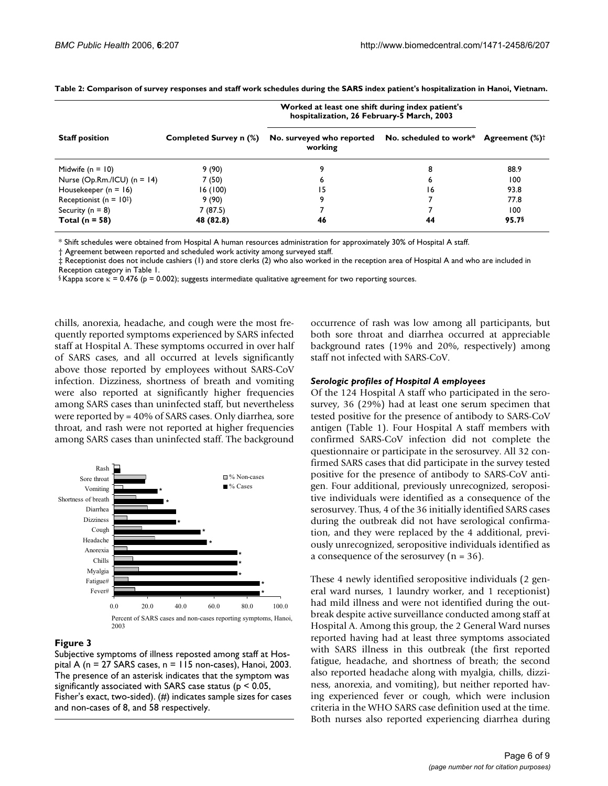|                                   |                               | Worked at least one shift during index patient's<br>hospitalization, 26 February-5 March, 2003       |    |                   |  |
|-----------------------------------|-------------------------------|------------------------------------------------------------------------------------------------------|----|-------------------|--|
| <b>Staff position</b>             | <b>Completed Survey n (%)</b> | <b>No.</b> surveyed who reported <b>No.</b> scheduled to work* Agreement $(\%)^{\dagger}$<br>working |    |                   |  |
| Midwife $(n = 10)$                | 9(90)                         | 9                                                                                                    | 8  | 88.9              |  |
| Nurse (Op.Rm./ICU) $(n = 14)$     | 7(50)                         | 6                                                                                                    | 6  | 100               |  |
| Housekeeper ( $n = 16$ )          | 16 (100)                      | 15                                                                                                   | 16 | 93.8              |  |
| Receptionist ( $n = 10^{\circ}$ ) | 9(90)                         | 9                                                                                                    |    | 77.8              |  |
| Security ( $n = 8$ )              | 7(87.5)                       |                                                                                                      |    | 100               |  |
| Total ( $n = 58$ )                | 48 (82.8)                     | 46                                                                                                   | 44 | 95.7 <sup>§</sup> |  |

**Table 2: Comparison of survey responses and staff work schedules during the SARS index patient's hospitalization in Hanoi, Vietnam.**

\* Shift schedules were obtained from Hospital A human resources administration for approximately 30% of Hospital A staff.

† Agreement between reported and scheduled work activity among surveyed staff.

Receptionist does not include cashiers (1) and store clerks (2) who also worked in the reception area of Hospital A and who are included in Reception category in Table 1.

§ Kappa score κ = 0.476 (p = 0.002); suggests intermediate qualitative agreement for two reporting sources.

chills, anorexia, headache, and cough were the most frequently reported symptoms experienced by SARS infected staff at Hospital A. These symptoms occurred in over half of SARS cases, and all occurred at levels significantly above those reported by employees without SARS-CoV infection. Dizziness, shortness of breath and vomiting were also reported at significantly higher frequencies among SARS cases than uninfected staff, but nevertheless were reported by = 40% of SARS cases. Only diarrhea, sore throat, and rash were not reported at higher frequencies among SARS cases than uninfected staff. The background



#### Figure 3

Subjective symptoms of illness reposted among staff at Hospital A ( $n = 27$  SARS cases,  $n = 115$  non-cases), Hanoi, 2003. The presence of an asterisk indicates that the symptom was significantly associated with SARS case status ( $p < 0.05$ , Fisher's exact, two-sided). (#) indicates sample sizes for cases and non-cases of 8, and 58 respectively.

occurrence of rash was low among all participants, but both sore throat and diarrhea occurred at appreciable background rates (19% and 20%, respectively) among staff not infected with SARS-CoV.

#### *Serologic profiles of Hospital A employees*

Of the 124 Hospital A staff who participated in the serosurvey, 36 (29%) had at least one serum specimen that tested positive for the presence of antibody to SARS-CoV antigen (Table 1). Four Hospital A staff members with confirmed SARS-CoV infection did not complete the questionnaire or participate in the serosurvey. All 32 confirmed SARS cases that did participate in the survey tested positive for the presence of antibody to SARS-CoV antigen. Four additional, previously unrecognized, seropositive individuals were identified as a consequence of the serosurvey. Thus, 4 of the 36 initially identified SARS cases during the outbreak did not have serological confirmation, and they were replaced by the 4 additional, previously unrecognized, seropositive individuals identified as a consequence of the serosurvey  $(n = 36)$ .

These 4 newly identified seropositive individuals (2 general ward nurses, 1 laundry worker, and 1 receptionist) had mild illness and were not identified during the outbreak despite active surveillance conducted among staff at Hospital A. Among this group, the 2 General Ward nurses reported having had at least three symptoms associated with SARS illness in this outbreak (the first reported fatigue, headache, and shortness of breath; the second also reported headache along with myalgia, chills, dizziness, anorexia, and vomiting), but neither reported having experienced fever or cough, which were inclusion criteria in the WHO SARS case definition used at the time. Both nurses also reported experiencing diarrhea during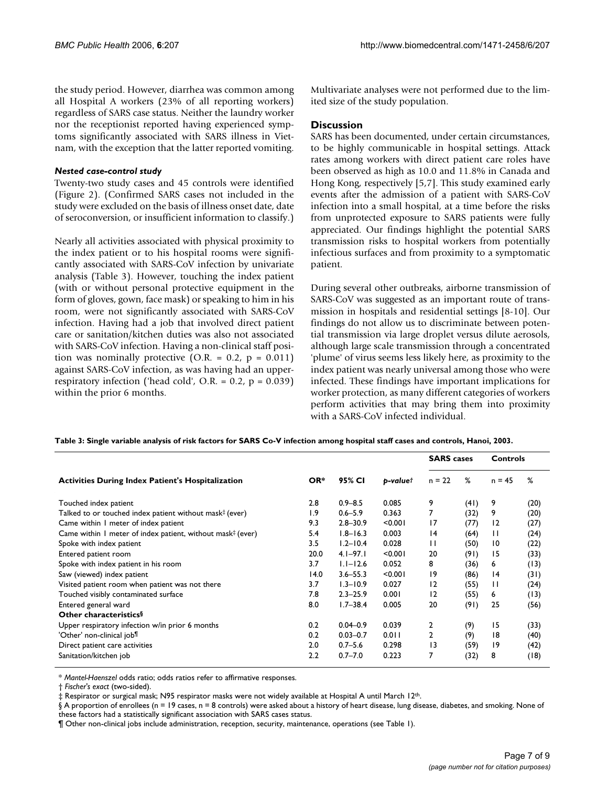the study period. However, diarrhea was common among all Hospital A workers (23% of all reporting workers) regardless of SARS case status. Neither the laundry worker nor the receptionist reported having experienced symptoms significantly associated with SARS illness in Vietnam, with the exception that the latter reported vomiting.

#### *Nested case-control study*

Twenty-two study cases and 45 controls were identified (Figure 2). (Confirmed SARS cases not included in the study were excluded on the basis of illness onset date, date of seroconversion, or insufficient information to classify.)

Nearly all activities associated with physical proximity to the index patient or to his hospital rooms were significantly associated with SARS-CoV infection by univariate analysis (Table 3). However, touching the index patient (with or without personal protective equipment in the form of gloves, gown, face mask) or speaking to him in his room, were not significantly associated with SARS-CoV infection. Having had a job that involved direct patient care or sanitation/kitchen duties was also not associated with SARS-CoV infection. Having a non-clinical staff position was nominally protective  $(O.R. = 0.2, p = 0.011)$ against SARS-CoV infection, as was having had an upperrespiratory infection ('head cold', O.R. =  $0.2$ ,  $p = 0.039$ ) within the prior 6 months.

Multivariate analyses were not performed due to the limited size of the study population.

# **Discussion**

SARS has been documented, under certain circumstances, to be highly communicable in hospital settings. Attack rates among workers with direct patient care roles have been observed as high as 10.0 and 11.8% in Canada and Hong Kong, respectively [5,7]. This study examined early events after the admission of a patient with SARS-CoV infection into a small hospital, at a time before the risks from unprotected exposure to SARS patients were fully appreciated. Our findings highlight the potential SARS transmission risks to hospital workers from potentially infectious surfaces and from proximity to a symptomatic patient.

During several other outbreaks, airborne transmission of SARS-CoV was suggested as an important route of transmission in hospitals and residential settings [8-10]. Our findings do not allow us to discriminate between potential transmission via large droplet versus dilute aerosols, although large scale transmission through a concentrated 'plume' of virus seems less likely here, as proximity to the index patient was nearly universal among those who were infected. These findings have important implications for worker protection, as many different categories of workers perform activities that may bring them into proximity with a SARS-CoV infected individual.

|                                                            |                 |              |          | <b>SARS</b> cases |      | <b>Controls</b> |      |
|------------------------------------------------------------|-----------------|--------------|----------|-------------------|------|-----------------|------|
| <b>Activities During Index Patient's Hospitalization</b>   | OR <sup>*</sup> | 95% CI       | p-value† | $n = 22$          | %    | $n = 45$        | %    |
| Touched index patient                                      | 2.8             | $0.9 - 8.5$  | 0.085    | 9                 | (41) | 9               | (20) |
| Talked to or touched index patient without mask‡ (ever)    | 1.9             | $0.6 - 5.9$  | 0.363    |                   | (32) | 9               | (20) |
| Came within I meter of index patient                       | 9.3             | $2.8 - 30.9$ | < 0.001  | 17                | (77) | $\overline{2}$  | (27) |
| Came within I meter of index patient, without mask# (ever) | 5.4             | $1.8 - 16.3$ | 0.003    | $\overline{14}$   | (64) | $\mathbf{H}$    | (24) |
| Spoke with index patient                                   | 3.5             | $1.2 - 10.4$ | 0.028    | $\mathbf{H}$      | (50) | 10              | (22) |
| Entered patient room                                       | 20.0            | $4.1 - 97.1$ | < 0.001  | 20                | (91) | 15              | (33) |
| Spoke with index patient in his room                       | 3.7             | $1.1 - 12.6$ | 0.052    | 8                 | (36) | 6               | (13) |
| Saw (viewed) index patient                                 | 14.0            | $3.6 - 55.3$ | < 0.001  | 19                | (86) | $\overline{14}$ | (31) |
| Visited patient room when patient was not there            | 3.7             | $1.3 - 10.9$ | 0.027    | 12                | (55) | $\mathsf{L}$    | (24) |
| Touched visibly contaminated surface                       | 7.8             | $2.3 - 25.9$ | 0.001    | 12                | (55) | 6               | (13) |
| Entered general ward                                       | 8.0             | $1.7 - 38.4$ | 0.005    | 20                | (91) | 25              | (56) |
| Other characteristics <sup>§</sup>                         |                 |              |          |                   |      |                 |      |
| Upper respiratory infection w/in prior 6 months            | 0.2             | $0.04 - 0.9$ | 0.039    | 2                 | (9)  | 15              | (33) |
| 'Other' non-clinical job¶                                  | 0.2             | $0.03 - 0.7$ | 0.011    | 2                 | (9)  | 18              | (40) |
| Direct patient care activities                             | 2.0             | $0.7 - 5.6$  | 0.298    | $\overline{13}$   | (59) | 9               | (42) |
| Sanitation/kitchen job                                     | 2.2             | $0.7 - 7.0$  | 0.223    |                   | (32) | 8               | (18) |

**Table 3: Single variable analysis of risk factors for SARS Co-V infection among hospital staff cases and controls, Hanoi, 2003.**

\* *Mantel-Haenszel* odds ratio; odds ratios refer to affirmative responses.

† *Fischer's exact* (two-sided).

<sup>‡</sup> Respirator or surgical mask; N95 respirator masks were not widely available at Hospital A until March 12<sup>th</sup>.

§ A proportion of enrollees (n = 19 cases, n = 8 controls) were asked about a history of heart disease, lung disease, diabetes, and smoking. None of these factors had a statistically significant association with SARS cases status.

¶ Other non-clinical jobs include administration, reception, security, maintenance, operations (see Table 1).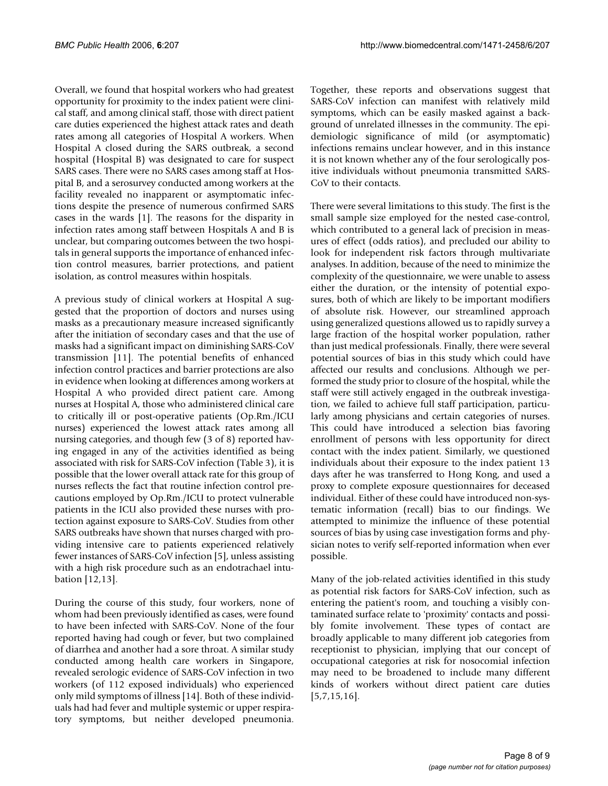Overall, we found that hospital workers who had greatest opportunity for proximity to the index patient were clinical staff, and among clinical staff, those with direct patient care duties experienced the highest attack rates and death rates among all categories of Hospital A workers. When Hospital A closed during the SARS outbreak, a second hospital (Hospital B) was designated to care for suspect SARS cases. There were no SARS cases among staff at Hospital B, and a serosurvey conducted among workers at the facility revealed no inapparent or asymptomatic infections despite the presence of numerous confirmed SARS cases in the wards [1]. The reasons for the disparity in infection rates among staff between Hospitals A and B is unclear, but comparing outcomes between the two hospitals in general supports the importance of enhanced infection control measures, barrier protections, and patient isolation, as control measures within hospitals.

A previous study of clinical workers at Hospital A suggested that the proportion of doctors and nurses using masks as a precautionary measure increased significantly after the initiation of secondary cases and that the use of masks had a significant impact on diminishing SARS-CoV transmission [11]. The potential benefits of enhanced infection control practices and barrier protections are also in evidence when looking at differences among workers at Hospital A who provided direct patient care. Among nurses at Hospital A, those who administered clinical care to critically ill or post-operative patients (Op.Rm./ICU nurses) experienced the lowest attack rates among all nursing categories, and though few (3 of 8) reported having engaged in any of the activities identified as being associated with risk for SARS-CoV infection (Table 3), it is possible that the lower overall attack rate for this group of nurses reflects the fact that routine infection control precautions employed by Op.Rm./ICU to protect vulnerable patients in the ICU also provided these nurses with protection against exposure to SARS-CoV. Studies from other SARS outbreaks have shown that nurses charged with providing intensive care to patients experienced relatively fewer instances of SARS-CoV infection [5], unless assisting with a high risk procedure such as an endotrachael intubation [12,13].

During the course of this study, four workers, none of whom had been previously identified as cases, were found to have been infected with SARS-CoV. None of the four reported having had cough or fever, but two complained of diarrhea and another had a sore throat. A similar study conducted among health care workers in Singapore, revealed serologic evidence of SARS-CoV infection in two workers (of 112 exposed individuals) who experienced only mild symptoms of illness [14]. Both of these individuals had had fever and multiple systemic or upper respiratory symptoms, but neither developed pneumonia.

Together, these reports and observations suggest that SARS-CoV infection can manifest with relatively mild symptoms, which can be easily masked against a background of unrelated illnesses in the community. The epidemiologic significance of mild (or asymptomatic) infections remains unclear however, and in this instance it is not known whether any of the four serologically positive individuals without pneumonia transmitted SARS-CoV to their contacts.

There were several limitations to this study. The first is the small sample size employed for the nested case-control, which contributed to a general lack of precision in measures of effect (odds ratios), and precluded our ability to look for independent risk factors through multivariate analyses. In addition, because of the need to minimize the complexity of the questionnaire, we were unable to assess either the duration, or the intensity of potential exposures, both of which are likely to be important modifiers of absolute risk. However, our streamlined approach using generalized questions allowed us to rapidly survey a large fraction of the hospital worker population, rather than just medical professionals. Finally, there were several potential sources of bias in this study which could have affected our results and conclusions. Although we performed the study prior to closure of the hospital, while the staff were still actively engaged in the outbreak investigation, we failed to achieve full staff participation, particularly among physicians and certain categories of nurses. This could have introduced a selection bias favoring enrollment of persons with less opportunity for direct contact with the index patient. Similarly, we questioned individuals about their exposure to the index patient 13 days after he was transferred to Hong Kong, and used a proxy to complete exposure questionnaires for deceased individual. Either of these could have introduced non-systematic information (recall) bias to our findings. We attempted to minimize the influence of these potential sources of bias by using case investigation forms and physician notes to verify self-reported information when ever possible.

Many of the job-related activities identified in this study as potential risk factors for SARS-CoV infection, such as entering the patient's room, and touching a visibly contaminated surface relate to 'proximity' contacts and possibly fomite involvement. These types of contact are broadly applicable to many different job categories from receptionist to physician, implying that our concept of occupational categories at risk for nosocomial infection may need to be broadened to include many different kinds of workers without direct patient care duties [5,7,15,16].